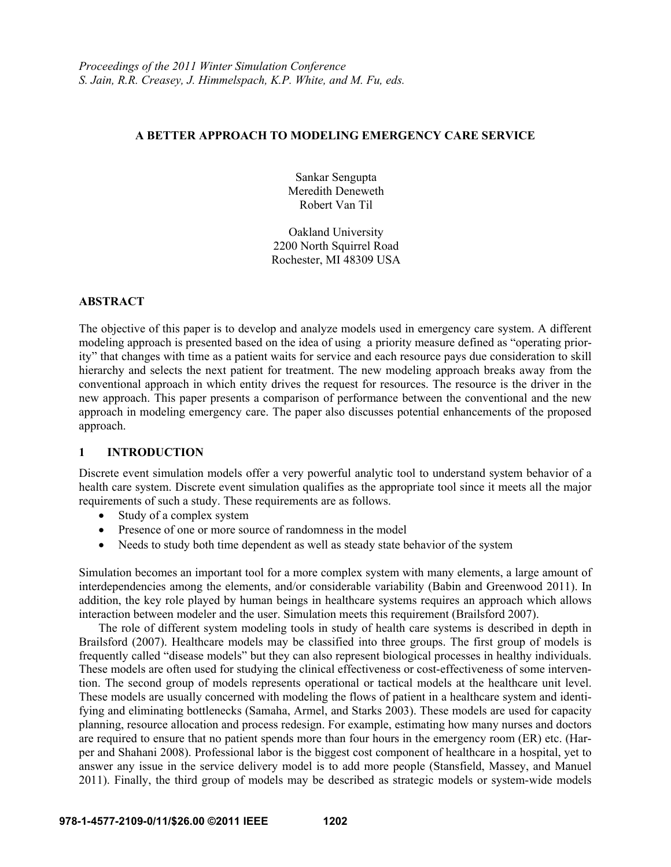## **A BETTER APPROACH TO MODELING EMERGENCY CARE SERVICE**

Sankar Sengupta Meredith Deneweth Robert Van Til

Oakland University 2200 North Squirrel Road Rochester, MI 48309 USA

## **ABSTRACT**

The objective of this paper is to develop and analyze models used in emergency care system. A different modeling approach is presented based on the idea of using a priority measure defined as "operating priority" that changes with time as a patient waits for service and each resource pays due consideration to skill hierarchy and selects the next patient for treatment. The new modeling approach breaks away from the conventional approach in which entity drives the request for resources. The resource is the driver in the new approach. This paper presents a comparison of performance between the conventional and the new approach in modeling emergency care. The paper also discusses potential enhancements of the proposed approach.

## **1 INTRODUCTION**

Discrete event simulation models offer a very powerful analytic tool to understand system behavior of a health care system. Discrete event simulation qualifies as the appropriate tool since it meets all the major requirements of such a study. These requirements are as follows.

- Study of a complex system
- Presence of one or more source of randomness in the model
- Needs to study both time dependent as well as steady state behavior of the system

Simulation becomes an important tool for a more complex system with many elements, a large amount of interdependencies among the elements, and/or considerable variability (Babin and Greenwood 2011). In addition, the key role played by human beings in healthcare systems requires an approach which allows interaction between modeler and the user. Simulation meets this requirement (Brailsford 2007).

 The role of different system modeling tools in study of health care systems is described in depth in Brailsford (2007). Healthcare models may be classified into three groups. The first group of models is frequently called "disease models" but they can also represent biological processes in healthy individuals. These models are often used for studying the clinical effectiveness or cost-effectiveness of some intervention. The second group of models represents operational or tactical models at the healthcare unit level. These models are usually concerned with modeling the flows of patient in a healthcare system and identifying and eliminating bottlenecks (Samaha, Armel, and Starks 2003). These models are used for capacity planning, resource allocation and process redesign. For example, estimating how many nurses and doctors are required to ensure that no patient spends more than four hours in the emergency room (ER) etc. (Harper and Shahani 2008). Professional labor is the biggest cost component of healthcare in a hospital, yet to answer any issue in the service delivery model is to add more people (Stansfield, Massey, and Manuel 2011). Finally, the third group of models may be described as strategic models or system-wide models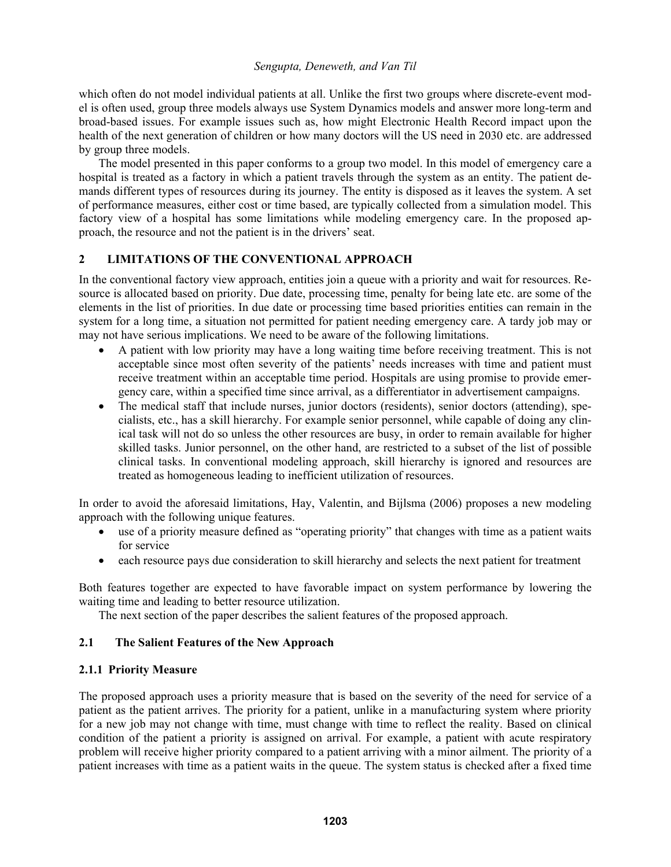which often do not model individual patients at all. Unlike the first two groups where discrete-event model is often used, group three models always use System Dynamics models and answer more long-term and broad-based issues. For example issues such as, how might Electronic Health Record impact upon the health of the next generation of children or how many doctors will the US need in 2030 etc. are addressed by group three models.

 The model presented in this paper conforms to a group two model. In this model of emergency care a hospital is treated as a factory in which a patient travels through the system as an entity. The patient demands different types of resources during its journey. The entity is disposed as it leaves the system. A set of performance measures, either cost or time based, are typically collected from a simulation model. This factory view of a hospital has some limitations while modeling emergency care. In the proposed approach, the resource and not the patient is in the drivers' seat.

## **2 LIMITATIONS OF THE CONVENTIONAL APPROACH**

In the conventional factory view approach, entities join a queue with a priority and wait for resources. Resource is allocated based on priority. Due date, processing time, penalty for being late etc. are some of the elements in the list of priorities. In due date or processing time based priorities entities can remain in the system for a long time, a situation not permitted for patient needing emergency care. A tardy job may or may not have serious implications. We need to be aware of the following limitations.

- A patient with low priority may have a long waiting time before receiving treatment. This is not acceptable since most often severity of the patients' needs increases with time and patient must receive treatment within an acceptable time period. Hospitals are using promise to provide emergency care, within a specified time since arrival, as a differentiator in advertisement campaigns.
- The medical staff that include nurses, junior doctors (residents), senior doctors (attending), specialists, etc., has a skill hierarchy. For example senior personnel, while capable of doing any clinical task will not do so unless the other resources are busy, in order to remain available for higher skilled tasks. Junior personnel, on the other hand, are restricted to a subset of the list of possible clinical tasks. In conventional modeling approach, skill hierarchy is ignored and resources are treated as homogeneous leading to inefficient utilization of resources.

In order to avoid the aforesaid limitations, Hay, Valentin, and Bijlsma (2006) proposes a new modeling approach with the following unique features.

- use of a priority measure defined as "operating priority" that changes with time as a patient waits for service
- each resource pays due consideration to skill hierarchy and selects the next patient for treatment

Both features together are expected to have favorable impact on system performance by lowering the waiting time and leading to better resource utilization.

The next section of the paper describes the salient features of the proposed approach.

## **2.1 The Salient Features of the New Approach**

## **2.1.1 Priority Measure**

The proposed approach uses a priority measure that is based on the severity of the need for service of a patient as the patient arrives. The priority for a patient, unlike in a manufacturing system where priority for a new job may not change with time, must change with time to reflect the reality. Based on clinical condition of the patient a priority is assigned on arrival. For example, a patient with acute respiratory problem will receive higher priority compared to a patient arriving with a minor ailment. The priority of a patient increases with time as a patient waits in the queue. The system status is checked after a fixed time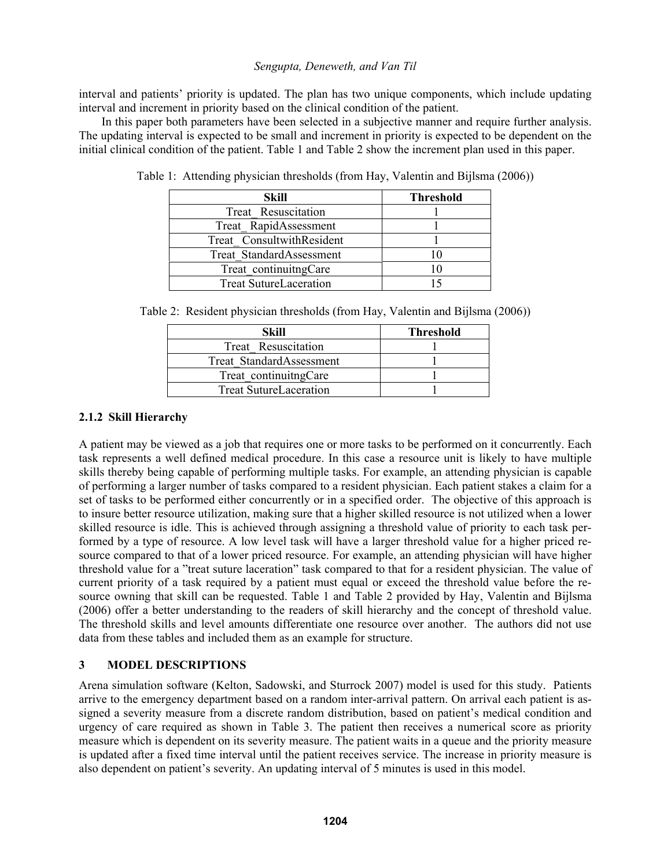interval and patients' priority is updated. The plan has two unique components, which include updating interval and increment in priority based on the clinical condition of the patient.

 In this paper both parameters have been selected in a subjective manner and require further analysis. The updating interval is expected to be small and increment in priority is expected to be dependent on the initial clinical condition of the patient. Table 1 and Table 2 show the increment plan used in this paper.

| Skill                         | <b>Threshold</b> |
|-------------------------------|------------------|
| Treat Resuscitation           |                  |
| Treat RapidAssessment         |                  |
| Treat ConsultwithResident     |                  |
| Treat StandardAssessment      |                  |
| Treat continuitngCare         | 10               |
| <b>Treat SutureLaceration</b> |                  |

Table 1: Attending physician thresholds (from Hay, Valentin and Bijlsma (2006))

|  |  | Table 2: Resident physician thresholds (from Hay, Valentin and Bijlsma (2006)) |  |
|--|--|--------------------------------------------------------------------------------|--|
|  |  |                                                                                |  |

| Skill                         | <b>Threshold</b> |
|-------------------------------|------------------|
| Treat Resuscitation           |                  |
| Treat StandardAssessment      |                  |
| Treat continuiting Care       |                  |
| <b>Treat SutureLaceration</b> |                  |
|                               |                  |

## **2.1.2 Skill Hierarchy**

A patient may be viewed as a job that requires one or more tasks to be performed on it concurrently. Each task represents a well defined medical procedure. In this case a resource unit is likely to have multiple skills thereby being capable of performing multiple tasks. For example, an attending physician is capable of performing a larger number of tasks compared to a resident physician. Each patient stakes a claim for a set of tasks to be performed either concurrently or in a specified order. The objective of this approach is to insure better resource utilization, making sure that a higher skilled resource is not utilized when a lower skilled resource is idle. This is achieved through assigning a threshold value of priority to each task performed by a type of resource. A low level task will have a larger threshold value for a higher priced resource compared to that of a lower priced resource. For example, an attending physician will have higher threshold value for a "treat suture laceration" task compared to that for a resident physician. The value of current priority of a task required by a patient must equal or exceed the threshold value before the resource owning that skill can be requested. Table 1 and Table 2 provided by Hay, Valentin and Bijlsma (2006) offer a better understanding to the readers of skill hierarchy and the concept of threshold value. The threshold skills and level amounts differentiate one resource over another. The authors did not use data from these tables and included them as an example for structure.

# **3 MODEL DESCRIPTIONS**

Arena simulation software (Kelton, Sadowski, and Sturrock 2007) model is used for this study. Patients arrive to the emergency department based on a random inter-arrival pattern. On arrival each patient is assigned a severity measure from a discrete random distribution, based on patient's medical condition and urgency of care required as shown in Table 3. The patient then receives a numerical score as priority measure which is dependent on its severity measure. The patient waits in a queue and the priority measure is updated after a fixed time interval until the patient receives service. The increase in priority measure is also dependent on patient's severity. An updating interval of 5 minutes is used in this model.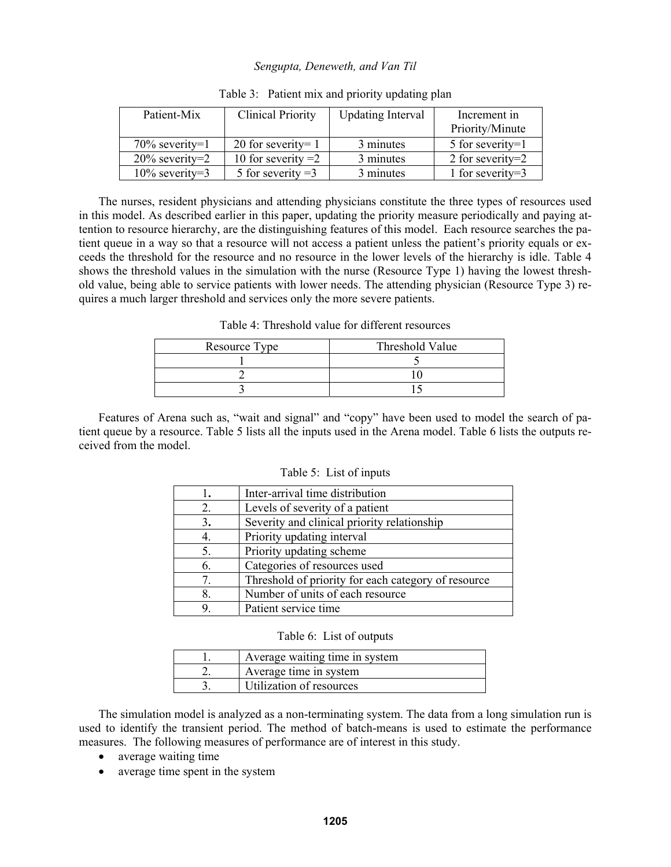| Patient-Mix       | <b>Clinical Priority</b> | <b>Updating Interval</b> | Increment in<br>Priority/Minute |
|-------------------|--------------------------|--------------------------|---------------------------------|
| $70\%$ severity=1 | 20 for severity = $1$    | 3 minutes                | 5 for severity=1                |
| $20\%$ severity=2 | 10 for severity $=2$     | 3 minutes                | 2 for severity=2                |
| $10\%$ severity=3 | 5 for severity $=3$      | 3 minutes                | 1 for severity= $3$             |

Table 3: Patient mix and priority updating plan

 The nurses, resident physicians and attending physicians constitute the three types of resources used in this model. As described earlier in this paper, updating the priority measure periodically and paying attention to resource hierarchy, are the distinguishing features of this model. Each resource searches the patient queue in a way so that a resource will not access a patient unless the patient's priority equals or exceeds the threshold for the resource and no resource in the lower levels of the hierarchy is idle. Table 4 shows the threshold values in the simulation with the nurse (Resource Type 1) having the lowest threshold value, being able to service patients with lower needs. The attending physician (Resource Type 3) requires a much larger threshold and services only the more severe patients.

Table 4: Threshold value for different resources

| Resource Type | Threshold Value |
|---------------|-----------------|
|               |                 |
|               |                 |
|               |                 |

 Features of Arena such as, "wait and signal" and "copy" have been used to model the search of patient queue by a resource. Table 5 lists all the inputs used in the Arena model. Table 6 lists the outputs received from the model.

|         | Inter-arrival time distribution                     |
|---------|-----------------------------------------------------|
| $2_{-}$ | Levels of severity of a patient                     |
| 3.      | Severity and clinical priority relationship         |
|         | Priority updating interval                          |
| 5.      | Priority updating scheme                            |
| 6.      | Categories of resources used                        |
| $\tau$  | Threshold of priority for each category of resource |
| 8.      | Number of units of each resource                    |
|         | Patient service time                                |

Table 5: List of inputs

#### Table 6: List of outputs

| Average waiting time in system |
|--------------------------------|
| Average time in system         |
| Utilization of resources       |

 The simulation model is analyzed as a non-terminating system. The data from a long simulation run is used to identify the transient period. The method of batch-means is used to estimate the performance measures. The following measures of performance are of interest in this study.

- average waiting time
- average time spent in the system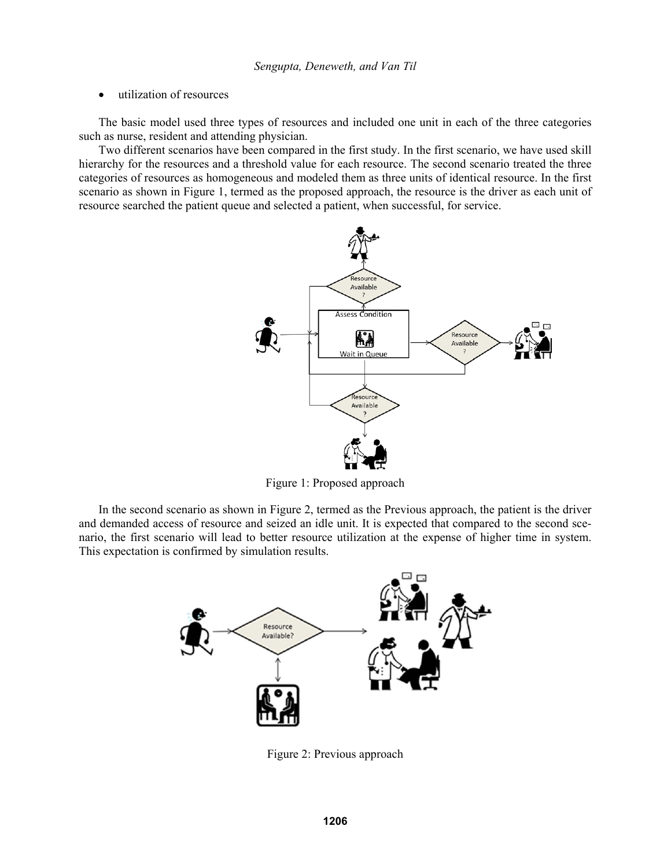utilization of resources

 The basic model used three types of resources and included one unit in each of the three categories such as nurse, resident and attending physician.

 Two different scenarios have been compared in the first study. In the first scenario, we have used skill hierarchy for the resources and a threshold value for each resource. The second scenario treated the three categories of resources as homogeneous and modeled them as three units of identical resource. In the first scenario as shown in Figure 1, termed as the proposed approach, the resource is the driver as each unit of resource searched the patient queue and selected a patient, when successful, for service.



Figure 1: Proposed approach

 In the second scenario as shown in Figure 2, termed as the Previous approach, the patient is the driver and demanded access of resource and seized an idle unit. It is expected that compared to the second scenario, the first scenario will lead to better resource utilization at the expense of higher time in system. This expectation is confirmed by simulation results.



Figure 2: Previous approach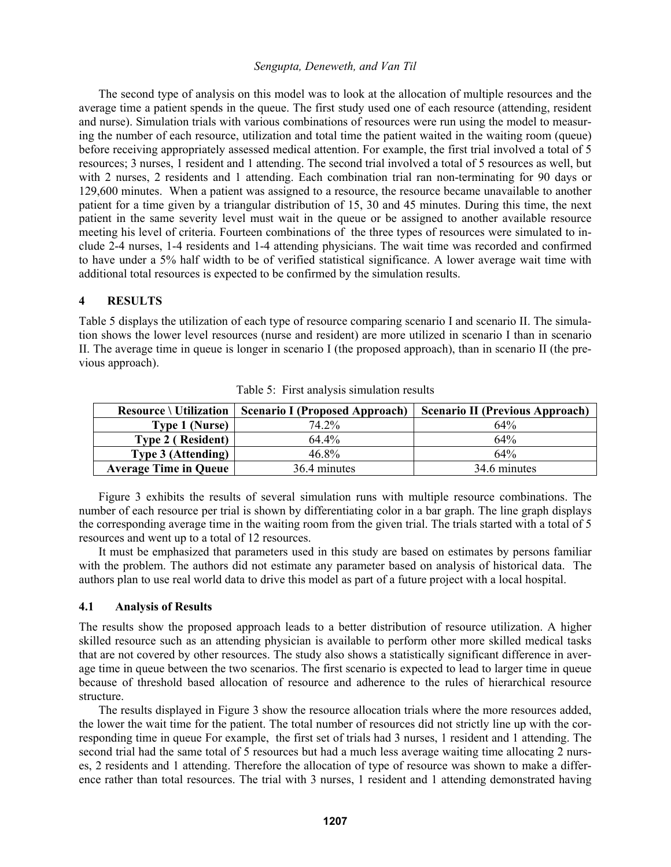The second type of analysis on this model was to look at the allocation of multiple resources and the average time a patient spends in the queue. The first study used one of each resource (attending, resident and nurse). Simulation trials with various combinations of resources were run using the model to measuring the number of each resource, utilization and total time the patient waited in the waiting room (queue) before receiving appropriately assessed medical attention. For example, the first trial involved a total of 5 resources; 3 nurses, 1 resident and 1 attending. The second trial involved a total of 5 resources as well, but with 2 nurses, 2 residents and 1 attending. Each combination trial ran non-terminating for 90 days or 129,600 minutes. When a patient was assigned to a resource, the resource became unavailable to another patient for a time given by a triangular distribution of 15, 30 and 45 minutes. During this time, the next patient in the same severity level must wait in the queue or be assigned to another available resource meeting his level of criteria. Fourteen combinations of the three types of resources were simulated to include 2-4 nurses, 1-4 residents and 1-4 attending physicians. The wait time was recorded and confirmed to have under a 5% half width to be of verified statistical significance. A lower average wait time with additional total resources is expected to be confirmed by the simulation results.

### **4 RESULTS**

Table 5 displays the utilization of each type of resource comparing scenario I and scenario II. The simulation shows the lower level resources (nurse and resident) are more utilized in scenario I than in scenario II. The average time in queue is longer in scenario I (the proposed approach), than in scenario II (the previous approach).

| $Resource \setminus Utilization$ | <b>Scenario I (Proposed Approach)</b> | <b>Scenario II (Previous Approach)</b> |
|----------------------------------|---------------------------------------|----------------------------------------|
| <b>Type 1 (Nurse)</b>            | 74.2%                                 | 64%                                    |
| <b>Type 2 (Resident)</b>         | 64.4%                                 | 64%                                    |
| <b>Type 3 (Attending)</b>        | 46.8%                                 | 64%                                    |
| <b>Average Time in Queue</b>     | 36.4 minutes                          | 34.6 minutes                           |

Table 5: First analysis simulation results

 Figure 3 exhibits the results of several simulation runs with multiple resource combinations. The number of each resource per trial is shown by differentiating color in a bar graph. The line graph displays the corresponding average time in the waiting room from the given trial. The trials started with a total of 5 resources and went up to a total of 12 resources.

 It must be emphasized that parameters used in this study are based on estimates by persons familiar with the problem. The authors did not estimate any parameter based on analysis of historical data. The authors plan to use real world data to drive this model as part of a future project with a local hospital.

#### **4.1 Analysis of Results**

The results show the proposed approach leads to a better distribution of resource utilization. A higher skilled resource such as an attending physician is available to perform other more skilled medical tasks that are not covered by other resources. The study also shows a statistically significant difference in average time in queue between the two scenarios. The first scenario is expected to lead to larger time in queue because of threshold based allocation of resource and adherence to the rules of hierarchical resource structure.

 The results displayed in Figure 3 show the resource allocation trials where the more resources added, the lower the wait time for the patient. The total number of resources did not strictly line up with the corresponding time in queue For example, the first set of trials had 3 nurses, 1 resident and 1 attending. The second trial had the same total of 5 resources but had a much less average waiting time allocating 2 nurses, 2 residents and 1 attending. Therefore the allocation of type of resource was shown to make a difference rather than total resources. The trial with 3 nurses, 1 resident and 1 attending demonstrated having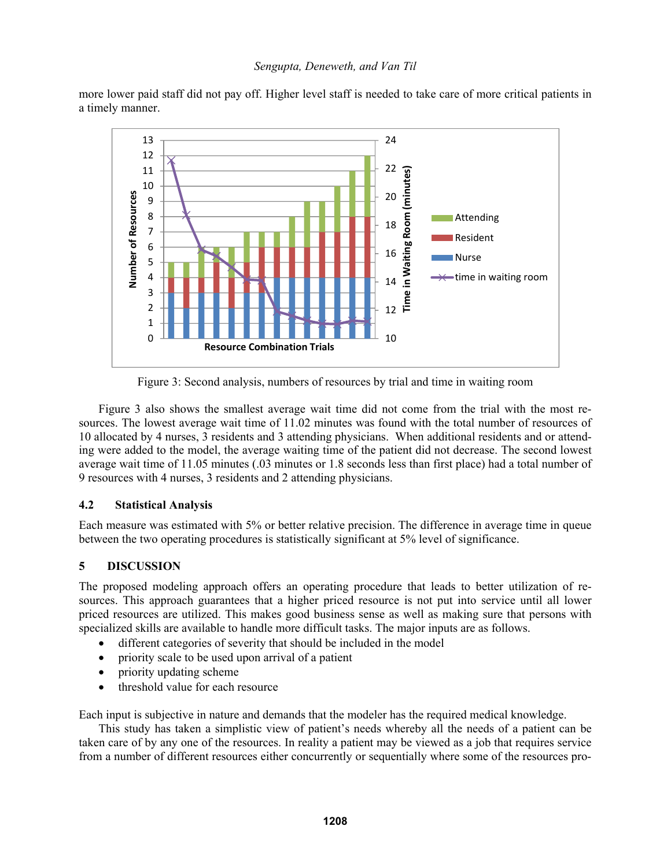more lower paid staff did not pay off. Higher level staff is needed to take care of more critical patients in a timely manner.



Figure 3: Second analysis, numbers of resources by trial and time in waiting room

 Figure 3 also shows the smallest average wait time did not come from the trial with the most resources. The lowest average wait time of 11.02 minutes was found with the total number of resources of 10 allocated by 4 nurses, 3 residents and 3 attending physicians. When additional residents and or attending were added to the model, the average waiting time of the patient did not decrease. The second lowest average wait time of 11.05 minutes (.03 minutes or 1.8 seconds less than first place) had a total number of 9 resources with 4 nurses, 3 residents and 2 attending physicians.

## **4.2 Statistical Analysis**

Each measure was estimated with 5% or better relative precision. The difference in average time in queue between the two operating procedures is statistically significant at 5% level of significance.

# **5 DISCUSSION**

The proposed modeling approach offers an operating procedure that leads to better utilization of resources. This approach guarantees that a higher priced resource is not put into service until all lower priced resources are utilized. This makes good business sense as well as making sure that persons with specialized skills are available to handle more difficult tasks. The major inputs are as follows.

- different categories of severity that should be included in the model
- priority scale to be used upon arrival of a patient
- priority updating scheme
- threshold value for each resource

Each input is subjective in nature and demands that the modeler has the required medical knowledge.

 This study has taken a simplistic view of patient's needs whereby all the needs of a patient can be taken care of by any one of the resources. In reality a patient may be viewed as a job that requires service from a number of different resources either concurrently or sequentially where some of the resources pro-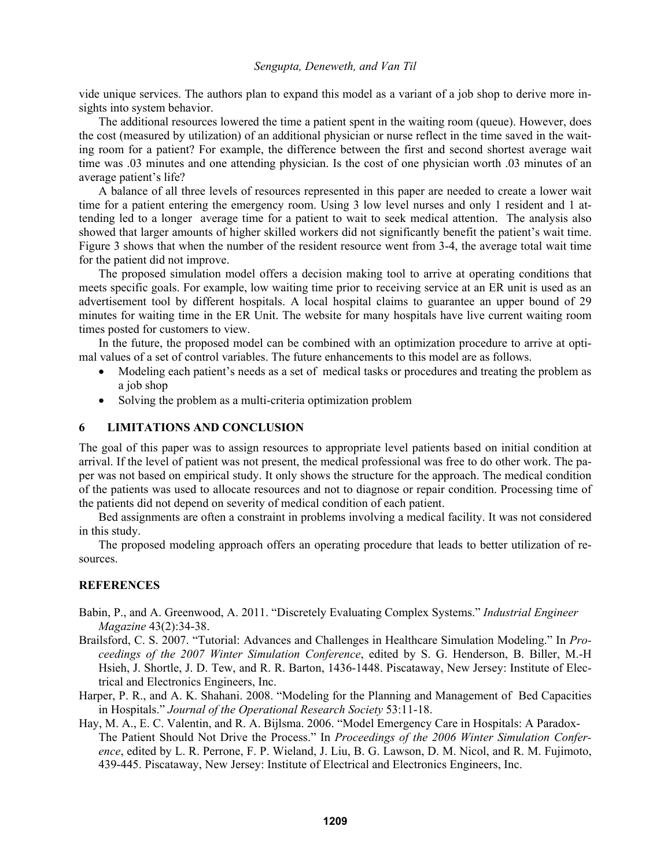vide unique services. The authors plan to expand this model as a variant of a job shop to derive more insights into system behavior.

 The additional resources lowered the time a patient spent in the waiting room (queue). However, does the cost (measured by utilization) of an additional physician or nurse reflect in the time saved in the waiting room for a patient? For example, the difference between the first and second shortest average wait time was .03 minutes and one attending physician. Is the cost of one physician worth .03 minutes of an average patient's life?

 A balance of all three levels of resources represented in this paper are needed to create a lower wait time for a patient entering the emergency room. Using 3 low level nurses and only 1 resident and 1 attending led to a longer average time for a patient to wait to seek medical attention. The analysis also showed that larger amounts of higher skilled workers did not significantly benefit the patient's wait time. Figure 3 shows that when the number of the resident resource went from 3-4, the average total wait time for the patient did not improve.

 The proposed simulation model offers a decision making tool to arrive at operating conditions that meets specific goals. For example, low waiting time prior to receiving service at an ER unit is used as an advertisement tool by different hospitals. A local hospital claims to guarantee an upper bound of 29 minutes for waiting time in the ER Unit. The website for many hospitals have live current waiting room times posted for customers to view.

 In the future, the proposed model can be combined with an optimization procedure to arrive at optimal values of a set of control variables. The future enhancements to this model are as follows.

- Modeling each patient's needs as a set of medical tasks or procedures and treating the problem as a job shop
- Solving the problem as a multi-criteria optimization problem

## **6 LIMITATIONS AND CONCLUSION**

The goal of this paper was to assign resources to appropriate level patients based on initial condition at arrival. If the level of patient was not present, the medical professional was free to do other work. The paper was not based on empirical study. It only shows the structure for the approach. The medical condition of the patients was used to allocate resources and not to diagnose or repair condition. Processing time of the patients did not depend on severity of medical condition of each patient.

 Bed assignments are often a constraint in problems involving a medical facility. It was not considered in this study.

 The proposed modeling approach offers an operating procedure that leads to better utilization of resources.

## **REFERENCES**

- Babin, P., and A. Greenwood, A. 2011. "Discretely Evaluating Complex Systems." *Industrial Engineer Magazine* 43(2):34-38.
- Brailsford, C. S. 2007. "Tutorial: Advances and Challenges in Healthcare Simulation Modeling." In *Proceedings of the 2007 Winter Simulation Conference*, edited by S. G. Henderson, B. Biller, M.-H Hsieh, J. Shortle, J. D. Tew, and R. R. Barton, 1436-1448. Piscataway, New Jersey: Institute of Electrical and Electronics Engineers, Inc.
- Harper, P. R., and A. K. Shahani. 2008. "Modeling for the Planning and Management of Bed Capacities in Hospitals." *Journal of the Operational Research Society* 53:11-18.
- Hay, M. A., E. C. Valentin, and R. A. Bijlsma. 2006. "Model Emergency Care in Hospitals: A Paradox- The Patient Should Not Drive the Process." In *Proceedings of the 2006 Winter Simulation Conference*, edited by L. R. Perrone, F. P. Wieland, J. Liu, B. G. Lawson, D. M. Nicol, and R. M. Fujimoto, 439-445. Piscataway, New Jersey: Institute of Electrical and Electronics Engineers, Inc.